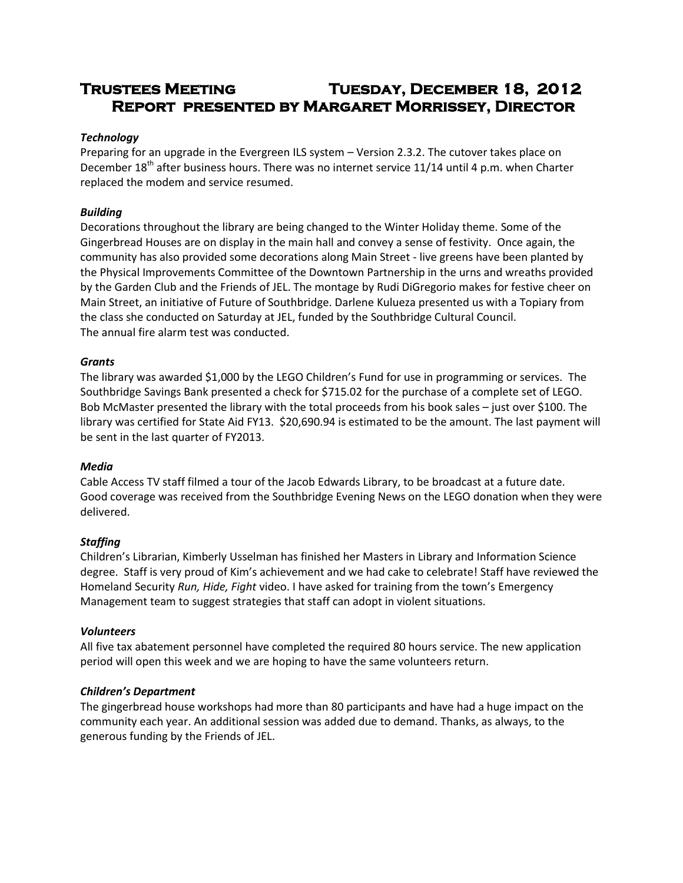# **Trustees Meeting Tuesday, December 18, 2012 Report presented by Margaret Morrissey, Director**

## *Technology*

Preparing for an upgrade in the Evergreen ILS system – Version 2.3.2. The cutover takes place on December 18<sup>th</sup> after business hours. There was no internet service 11/14 until 4 p.m. when Charter replaced the modem and service resumed.

# *Building*

Decorations throughout the library are being changed to the Winter Holiday theme. Some of the Gingerbread Houses are on display in the main hall and convey a sense of festivity. Once again, the community has also provided some decorations along Main Street - live greens have been planted by the Physical Improvements Committee of the Downtown Partnership in the urns and wreaths provided by the Garden Club and the Friends of JEL. The montage by Rudi DiGregorio makes for festive cheer on Main Street, an initiative of Future of Southbridge. Darlene Kulueza presented us with a Topiary from the class she conducted on Saturday at JEL, funded by the Southbridge Cultural Council. The annual fire alarm test was conducted.

#### *Grants*

The library was awarded \$1,000 by the LEGO Children's Fund for use in programming or services. The Southbridge Savings Bank presented a check for \$715.02 for the purchase of a complete set of LEGO. Bob McMaster presented the library with the total proceeds from his book sales – just over \$100. The library was certified for State Aid FY13. \$20,690.94 is estimated to be the amount. The last payment will be sent in the last quarter of FY2013.

#### *Media*

Cable Access TV staff filmed a tour of the Jacob Edwards Library, to be broadcast at a future date. Good coverage was received from the Southbridge Evening News on the LEGO donation when they were delivered.

#### *Staffing*

Children's Librarian, Kimberly Usselman has finished her Masters in Library and Information Science degree. Staff is very proud of Kim's achievement and we had cake to celebrate! Staff have reviewed the Homeland Security *Run, Hide, Fight* video. I have asked for training from the town's Emergency Management team to suggest strategies that staff can adopt in violent situations.

#### *Volunteers*

All five tax abatement personnel have completed the required 80 hours service. The new application period will open this week and we are hoping to have the same volunteers return.

#### *Children's Department*

The gingerbread house workshops had more than 80 participants and have had a huge impact on the community each year. An additional session was added due to demand. Thanks, as always, to the generous funding by the Friends of JEL.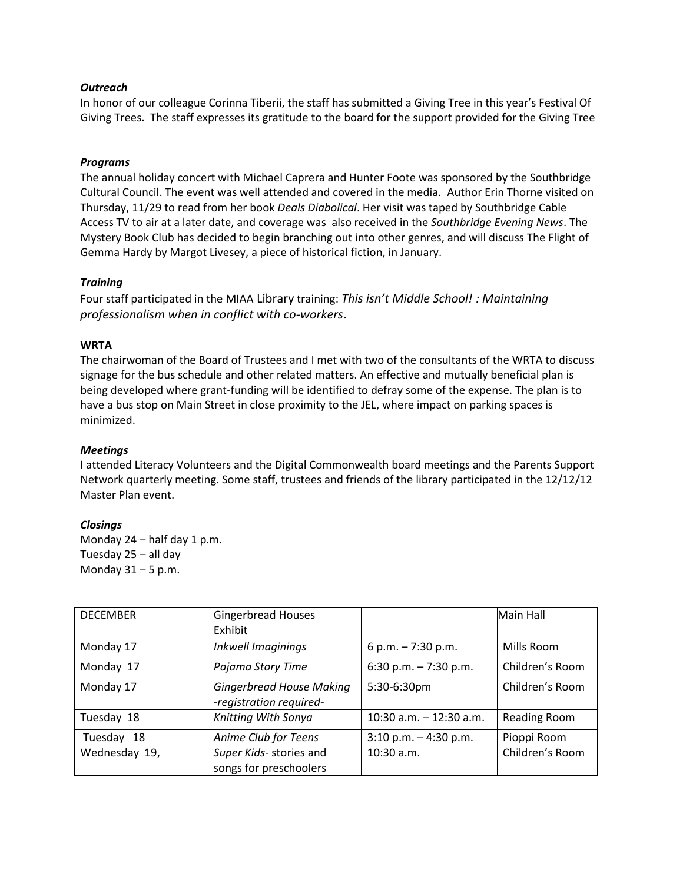#### *Outreach*

In honor of our colleague Corinna Tiberii, the staff has submitted a Giving Tree in this year's Festival Of Giving Trees. The staff expresses its gratitude to the board for the support provided for the Giving Tree

## *Programs*

The annual holiday concert with Michael Caprera and Hunter Foote was sponsored by the Southbridge Cultural Council. The event was well attended and covered in the media. Author Erin Thorne visited on Thursday, 11/29 to read from her book *Deals Diabolical*. Her visit was taped by Southbridge Cable Access TV to air at a later date, and coverage was also received in the *Southbridge Evening News*. The Mystery Book Club has decided to begin branching out into other genres, and will discuss The Flight of Gemma Hardy by Margot Livesey, a piece of historical fiction, in January.

#### *Training*

Four staff participated in the MIAA Library training: *This isn't Middle School! : Maintaining professionalism when in conflict with co-workers*.

#### **WRTA**

The chairwoman of the Board of Trustees and I met with two of the consultants of the WRTA to discuss signage for the bus schedule and other related matters. An effective and mutually beneficial plan is being developed where grant-funding will be identified to defray some of the expense. The plan is to have a bus stop on Main Street in close proximity to the JEL, where impact on parking spaces is minimized.

#### *Meetings*

I attended Literacy Volunteers and the Digital Commonwealth board meetings and the Parents Support Network quarterly meeting. Some staff, trustees and friends of the library participated in the 12/12/12 Master Plan event.

#### *Closings*

Monday 24 – half day 1 p.m. Tuesday 25 – all day Monday  $31 - 5$  p.m.

| <b>DECEMBER</b> | <b>Gingerbread Houses</b>       |                           | Main Hall           |
|-----------------|---------------------------------|---------------------------|---------------------|
|                 | Exhibit                         |                           |                     |
| Monday 17       | Inkwell Imaginings              | 6 p.m. $-7:30$ p.m.       | Mills Room          |
| Monday 17       | Pajama Story Time               | 6:30 p.m. $-7:30$ p.m.    | Children's Room     |
| Monday 17       | <b>Gingerbread House Making</b> | 5:30-6:30pm               | Children's Room     |
|                 | -registration required-         |                           |                     |
| Tuesday 18      | Knitting With Sonya             | 10:30 a.m. $-$ 12:30 a.m. | <b>Reading Room</b> |
| Tuesday 18      | Anime Club for Teens            | $3:10$ p.m. $-4:30$ p.m.  | Pioppi Room         |
| Wednesday 19,   | Super Kids- stories and         | $10:30$ a.m.              | Children's Room     |
|                 | songs for preschoolers          |                           |                     |